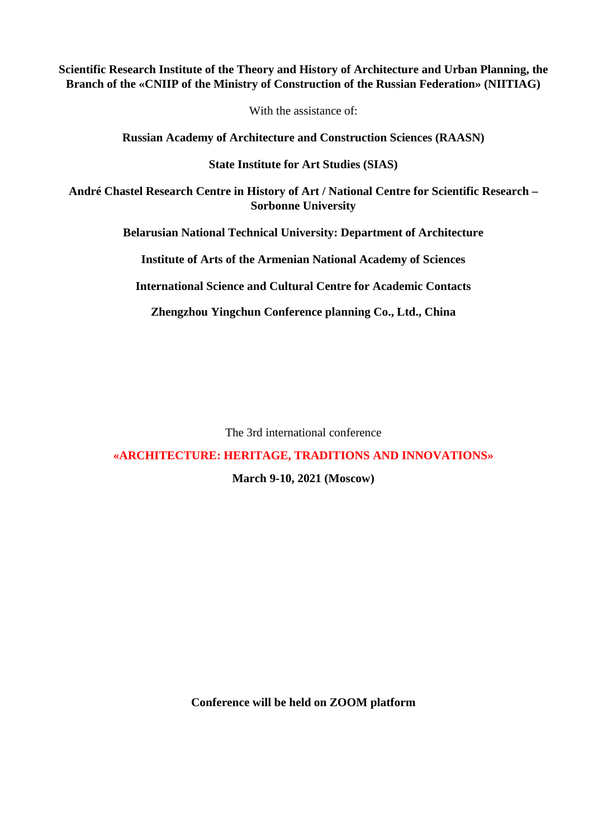## **Scientific Research Institute of the Theory and History of Architecture and Urban Planning, the Branch of the «CNIIP of the Ministry of Construction of the Russian Federation» (NIITIAG)**

With the assistance of:

**Russian Academy of Architecture and Construction Sciences (RAASN)**

**State Institute for Art Studies (SIAS)**

**André Chastel Research Centre in History of Art / National Centre for Scientific Research – Sorbonne University**

**Belarusian National Technical University: Department of Architecture**

**Institute of Arts of the Armenian National Academy of Sciences**

**International Science and Cultural Centre for Academic Contacts**

**Zhengzhou Yingchun Conference planning Co., Ltd., China**

The 3rd international conference

**«ARCHITECTURE: HERITAGE, TRADITIONS AND INNOVATIONS»**

**March 9-10, 2021 (Moscow)**

**Conference will be held on ZOOM platform**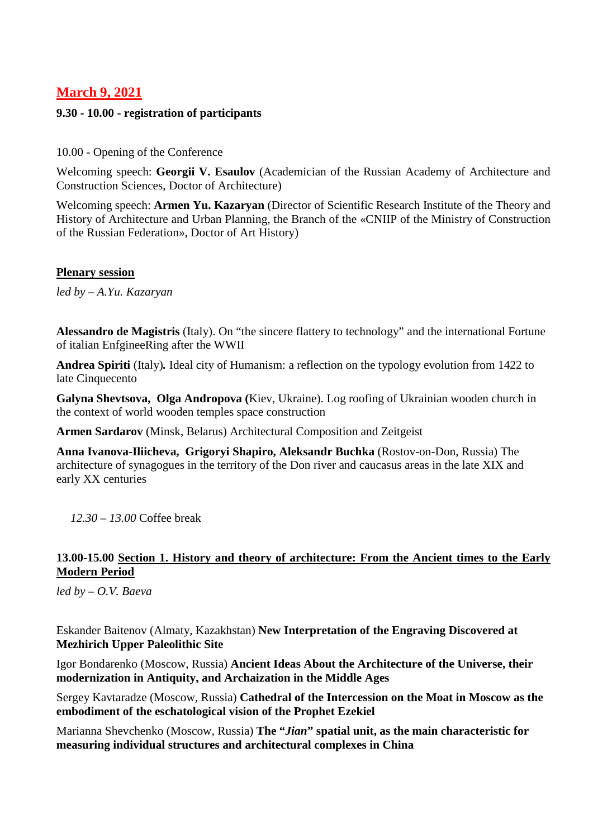# **March 9, 2021**

#### **9.30 - 10.00 - registration of participants**

#### 10.00 - Opening of the Conference

Welcoming speech: **Georgii V. Esaulov** (Academician of the Russian Academy of Architecture and Construction Sciences, Doctor of Architecture)

Welcoming speech: **Armen Yu. Kazaryan** (Director of Scientific Research Institute of the Theory and History of Architecture and Urban Planning, the Branch of the «CNIIP of the Ministry of Construction of the Russian Federation», Doctor of Art History)

#### **Plenary session**

*led by – A.Yu. Kazaryan*

**Alessandro de Magistris** (Italy). On "the sincere flattery to technology" and the international Fortune of italian EnfgineeRing after the WWII

**Andrea Spiriti** (Italy)*.* Ideal city of Humanism: a reflection on the typology evolution from 1422 to late Cinquecento

**Galyna Shevtsova, Olga Andropova (**Kiev, Ukraine). Log roofing of Ukrainian wooden church in the context of world wooden temples space construction

**Armen Sardarov** (Minsk, Belarus) Architectural Composition and Zeitgeist

**Anna Ivanova-Iliicheva, Grigoryi Shapiro, Aleksandr Buchka** (Rostov-on-Don, Russia) The architecture of synagogues in the territory of the Don river and caucasus areas in the late XIX and early XX centuries

*12.30 – 13.00* Coffee break

## **13.00-15.00 Section 1. History and theory of architecture: From the Ancient times to the Early Modern Period**

*led by – O.V. Baeva*

Eskander Baitenov (Almaty, Kazakhstan) **New Interpretation of the Engraving Discovered at Mezhirich Upper Paleolithic Site**

Igor Bondarenko (Moscow, Russia) **Ancient Ideas About the Architecture of the Universe, their modernization in Antiquity, and Archaization in the Middle Ages**

Sergey Kavtaradze (Moscow, Russia) **Cathedral of the Intercession on the Moat in Moscow as the embodiment of the eschatological vision of the Prophet Ezekiel**

Marianna Shevchenko (Moscow, Russia) **The "***Jian***" spatial unit, as the main characteristic for measuring individual structures and architectural complexes in China**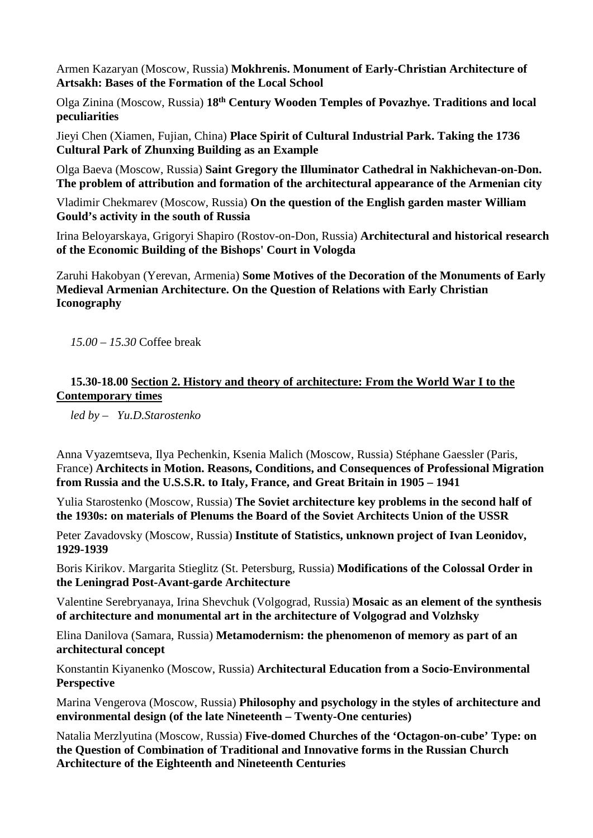Armen Kazaryan (Moscow, Russia) **Mokhrenis. Monument of Early-Christian Architecture of Artsakh: Bases of the Formation of the Local School**

Olga Zinina (Moscow, Russia) **18th Century Wooden Temples of Povazhye. Traditions and local peculiarities**

Jieyi Chen (Xiamen, Fujian, China) **Place Spirit of Cultural Industrial Park. Taking the 1736 Cultural Park of Zhunxing Building as an Example**

Olga Baeva (Moscow, Russia) **Saint Gregory the Illuminator Cathedral in Nakhichevan-on-Don. The problem of attribution and formation of the architectural appearance of the Armenian city**

Vladimir Chekmarev (Moscow, Russia) **On the question of the English garden master William Gould's activity in the south of Russia**

Irina Beloyarskaya, Grigoryi Shapiro (Rostov-on-Don, Russia) **Architectural and historical research of the Economic Building of the Bishops' Court in Vologda**

Zaruhi Hakobyan (Yerevan, Armenia) **Some Motives of the Decoration of the Monuments of Early Medieval Armenian Architecture. On the Question of Relations with Early Christian Iconography**

*15.00 – 15.30* Coffee break

### **15.30-18.00 Section 2. History and theory of architecture: From the World War I to the Contemporary times**

*led by – Yu.D.Starostenko*

Anna Vyazemtseva, Ilya Pechenkin, Ksenia Malich (Moscow, Russia) Stéphane Gaessler (Paris, France) **Architects in Motion. Reasons, Conditions, and Consequences of Professional Migration from Russia and the U.S.S.R. to Italy, France, and Great Britain in 1905 – 1941**

Yulia Starostenko (Moscow, Russia) **The Soviet architecture key problems in the second half of the 1930s: on materials of Plenums the Board of the Soviet Architects Union of the USSR**

Peter Zavadovsky (Moscow, Russia) **Institute of Statistics, unknown project of Ivan Leonidov, 1929-1939**

Boris Kirikov. Margarita Stieglitz (St. Petersburg, Russia) **Modifications of the Colossal Order in the Leningrad Post-Avant-garde Architecture**

Valentine Serebryanaya, Irina Shevchuk (Volgograd, Russia) **Mosaic as an element of the synthesis of architecture and monumental art in the architecture of Volgograd and Volzhsky**

Elina Danilova (Samara, Russia) **Metamodernism: the phenomenon of memory as part of an architectural concept**

Konstantin Kiyanenko (Moscow, Russia) **Architectural Education from a Socio-Environmental Perspective** 

Marina Vengerova (Moscow, Russia) **Philosophy and psychology in the styles of architecture and environmental design (of the late Nineteenth – Twenty-One centuries)**

Natalia Merzlyutina (Moscow, Russia) **Five-domed Churches of the 'Octagon-on-cube' Type: on the Question of Combination of Traditional and Innovative forms in the Russian Church Architecture of the Eighteenth and Nineteenth Centuries**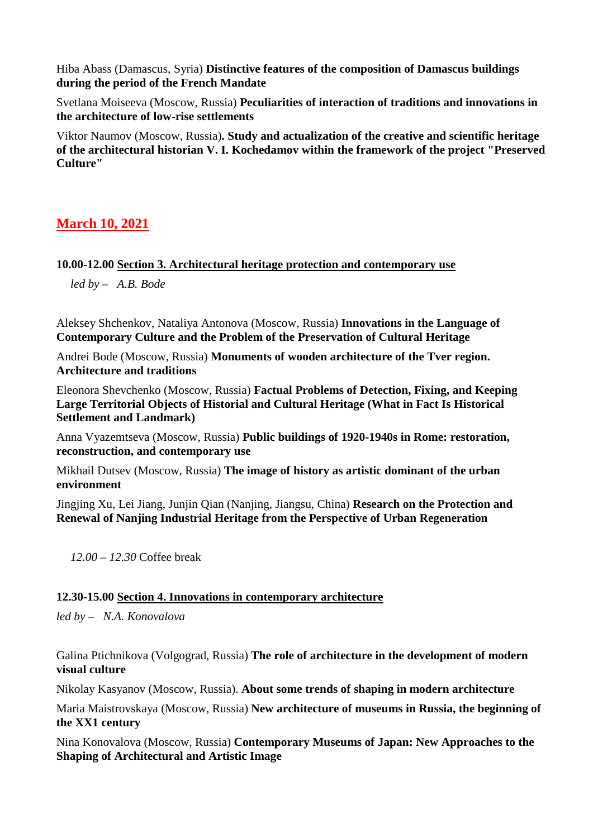Hiba Abass (Damascus, Syria) **Distinctive features of the composition of Damascus buildings during the period of the French Mandate**

Svetlana Moiseeva (Moscow, Russia) **Peculiarities of interaction of traditions and innovations in the architecture of low-rise settlements**

Viktor Naumov (Moscow, Russia)**. Study and actualization of the creative and scientific heritage of the architectural historian V. I. Kochedamov within the framework of the project "Preserved Culture"**

# **March 10, 2021**

### **10.00-12.00 Section 3. Architectural heritage protection and contemporary use**

*led by – A.B. Bode*

Aleksey Shchenkov, Nataliya Antonova (Moscow, Russia) **Innovations in the Language of Contemporary Culture and the Problem of the Preservation of Cultural Heritage**

Andrei Bode (Moscow, Russia) **Monuments of wooden architecture of the Tver region. Architecture and traditions**

Eleonora Shevchenko (Moscow, Russia) **Factual Problems of Detection, Fixing, and Keeping Large Territorial Objects of Historial and Cultural Heritage (What in Fact Is Historical Settlement and Landmark)**

Anna Vyazemtseva (Moscow, Russia) **Public buildings of 1920-1940s in Rome: restoration, reconstruction, and contemporary use**

Mikhail Dutsev (Moscow, Russia) **The image of history as artistic dominant of the urban environment**

Jingjing Xu, Lei Jiang, Junjin Qian (Nanjing, Jiangsu, China) **Research on the Protection and Renewal of Nanjing Industrial Heritage from the Perspective of Urban Regeneration**

*12.00 – 12.30* Coffee break

### **12.30-15.00 Section 4. Innovations in contemporary architecture**

*led by* – *N.A. Konovalova*

Galina Ptichnikova (Volgograd, Russia) **The role of architecture in the development of modern visual culture**

Nikolay Kasyanov (Moscow, Russia). **About some trends of shaping in modern architecture**

Maria Maistrovskaya (Moscow, Russia) **New architecture of museums in Russia, the beginning of the XX1 century**

Nina Konovalova (Moscow, Russia) **Contemporary Museums of Japan: New Approaches to the Shaping of Architectural and Artistic Image**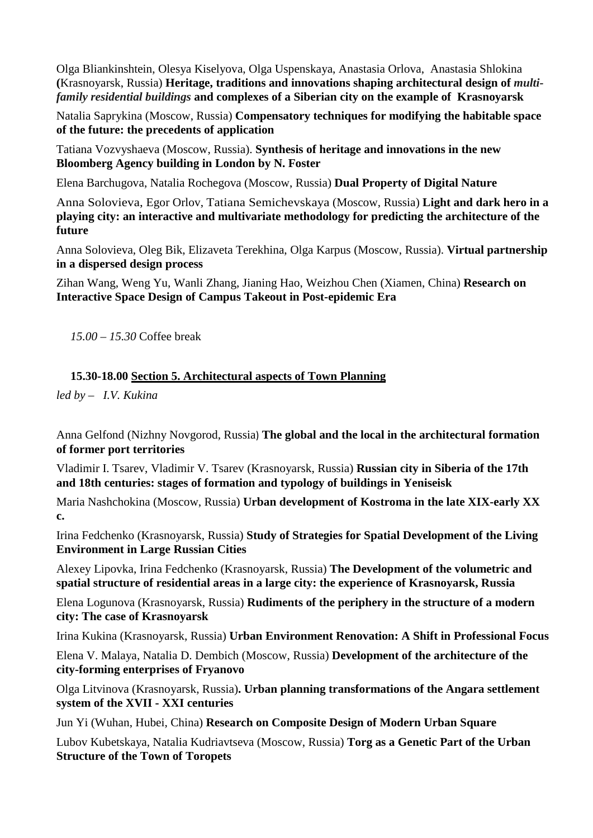Olga Bliankinshtein, Olesya Kiselyova, Olga Uspenskaya, Anastasia Orlova, Anastasia Shlokina **(**Krasnoyarsk, Russia) **Heritage, traditions and innovations shaping architectural design of** *[multi](https://context.reverso.net/%D0%BF%D0%B5%D1%80%D0%B5%D0%B2%D0%BE%D0%B4/%D0%B0%D0%BD%D0%B3%D0%BB%D0%B8%D0%B9%D1%81%D0%BA%D0%B8%D0%B9-%D1%80%D1%83%D1%81%D1%81%D0%BA%D0%B8%D0%B9/multi-family+residential+buildings)[family residential buildings](https://context.reverso.net/%D0%BF%D0%B5%D1%80%D0%B5%D0%B2%D0%BE%D0%B4/%D0%B0%D0%BD%D0%B3%D0%BB%D0%B8%D0%B9%D1%81%D0%BA%D0%B8%D0%B9-%D1%80%D1%83%D1%81%D1%81%D0%BA%D0%B8%D0%B9/multi-family+residential+buildings)* **and complexes of a Siberian city on the example of Krasnoyarsk**

Natalia Saprykina (Moscow, Russia) **Compensatory techniques for modifying the habitable space of the future: the precedents of application**

Tatiana Vozvyshaeva (Moscow, Russia). **Synthesis of heritage and innovations in the new Bloomberg Agency building in London by N. Foster**

Elena Barchugova, Natalia Rochegova (Moscow, Russia) **Dual Property of Digital Nature**

Anna Solovieva, Egor Orlov, Tatiana Semichevskaya (Moscow, Russia) **Light and dark hero in a playing city: an interactive and multivariate methodology for predicting the architecture of the future**

Anna Solovieva, Oleg Bik, Elizaveta Terekhina, Olga Karpus (Moscow, Russia). **Virtual partnership in a dispersed design process**

Zihan Wang, Weng Yu, Wanli Zhang, Jianing Hao, Weizhou Chen (Xiamen, China) **Research on Interactive Space Design of Campus Takeout in Post-epidemic Era**

*15.00 – 15.30* Coffee break

#### **15.30-18.00 Section 5. Architectural aspects of Town Planning**

*led by – I.V. Kukina*

Anna Gelfond (Nizhny Novgorod, Russia) **The global and the local in the architectural formation of former port territories**

Vladimir I. Tsarev, Vladimir V. Tsarev (Krasnoyarsk, Russia) **Russian city in Siberia of the 17th and 18th centuries: stages of formation and typology of buildings in Yeniseisk** 

Maria Nashchokina (Moscow, Russia) **Urban development of Kostroma in the late XIX-early XX c.**

Irina Fedchenko (Krasnoyarsk, Russia) **Study of Strategies for Spatial Development of the Living Environment in Large Russian Cities**

Alexey Lipovka, Irina Fedchenko (Krasnoyarsk, Russia) **The Development of the volumetric and spatial structure of residential areas in a large city: the experience of Krasnoyarsk, Russia**

Elena Logunova (Krasnoyarsk, Russia) **Rudiments of the periphery in the structure of a modern city: The case of Krasnoyarsk**

Irina Kukina (Krasnoyarsk, Russia) **Urban Environment Renovation: A Shift in Professional Focus**

Elena V. Malaya, Natalia D. Dembich (Moscow, Russia) **Development of the architecture of the city-forming enterprises of Fryanovo**

Olga Litvinova (Krasnoyarsk, Russia)**. Urban planning transformations of the Angara settlement system of the XVII - XXI centuries**

Jun Yi (Wuhan, Hubei, China) **Research on Composite Design of Modern Urban Square**

Lubov Kubetskaya, Natalia Kudriavtseva (Moscow, Russia) **Torg as a Genetic Part of the Urban Structure of the Town of Toropets**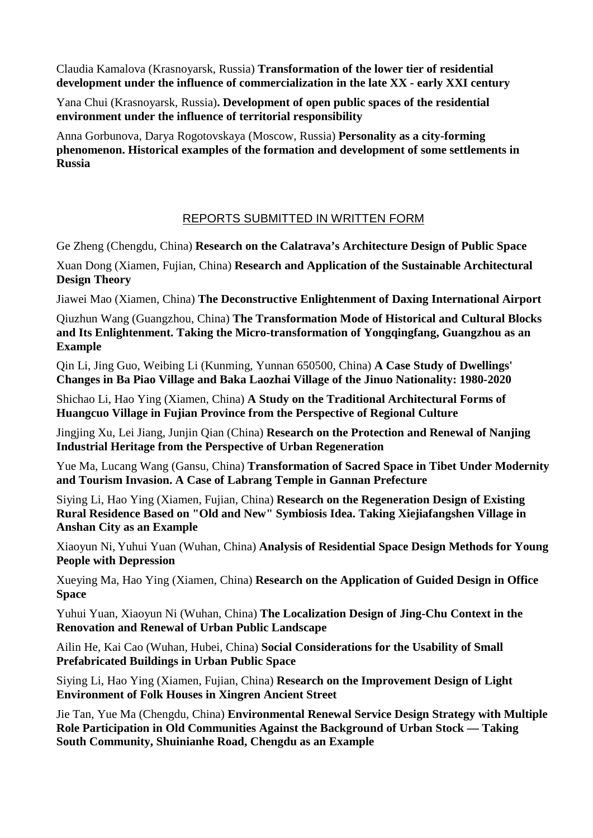Claudia Kamalova (Krasnoyarsk, Russia) **Transformation of the lower tier of residential development under the influence of commercialization in the late XX - early XXI century**

Yana Chui (Krasnoyarsk, Russia)**. Development of open public spaces of the residential environment under the influence of territorial responsibility**

Anna Gorbunova, Darya Rogotovskaya (Moscow, Russia) **Personality as a city-forming phenomenon. Historical examples of the formation and development of some settlements in Russia**

# REPORTS SUBMITTED IN WRITTEN FORM

Ge Zheng (Chengdu, China) **Research on the Calatrava's Architecture Design of Public Space**

Xuan Dong (Xiamen, Fujian, China) **Research and Application of the Sustainable Architectural Design Theory**

Jiawei Mao (Xiamen, China) **The Deconstructive Enlightenment of Daxing International Airport**

Qiuzhun Wang (Guangzhou, China) **The Transformation Mode of Historical and Cultural Blocks and Its Enlightenment. Taking the Micro-transformation of Yongqingfang, Guangzhou as an Example**

Qin Li, Jing Guo, Weibing Li (Kunming, Yunnan 650500, China) **A Case Study of Dwellings' Changes in Ba Piao Village and Baka Laozhai Village of the Jinuo Nationality: 1980-2020**

Shichao Li, Hao Ying (Xiamen, China) **A Study on the Traditional Architectural Forms of Huangcuo Village in Fujian Province from the Perspective of Regional Culture**

Jingjing Xu, Lei Jiang, Junjin Qian (China) **Research on the Protection and Renewal of Nanjing Industrial Heritage from the Perspective of Urban Regeneration**

Yue Ma, Lucang Wang (Gansu, China) **Transformation of Sacred Space in Tibet Under Modernity and Tourism Invasion. A Case of Labrang Temple in Gannan Prefecture**

Siying Li, Hao Ying (Xiamen, Fujian, China) **Research on the Regeneration Design of Existing Rural Residence Based on "Old and New" Symbiosis Idea. Taking Xiejiafangshen Village in Anshan City as an Example**

Xiaoyun Ni, Yuhui Yuan (Wuhan, China) **Analysis of Residential Space Design Methods for Young People with Depression**

Xueying Ma, Hao Ying (Xiamen, China) **Research on the Application of Guided Design in Office Space**

Yuhui Yuan, Xiaoyun Ni (Wuhan, China) **The Localization Design of Jing-Chu Context in the Renovation and Renewal of Urban Public Landscape**

Ailin He, Kai Cao (Wuhan, Hubei, China) **Social Considerations for the Usability of Small Prefabricated Buildings in Urban Public Space**

Siying Li, Hao Ying (Xiamen, Fujian, China) **Research on the Improvement Design of Light Environment of Folk Houses in Xingren Ancient Street**

Jie Tan, Yue Ma (Chengdu, China) **Environmental Renewal Service Design Strategy with Multiple Role Participation in Old Communities Against the Background of Urban Stock — Taking South Community, Shuinianhe Road, Chengdu as an Example**